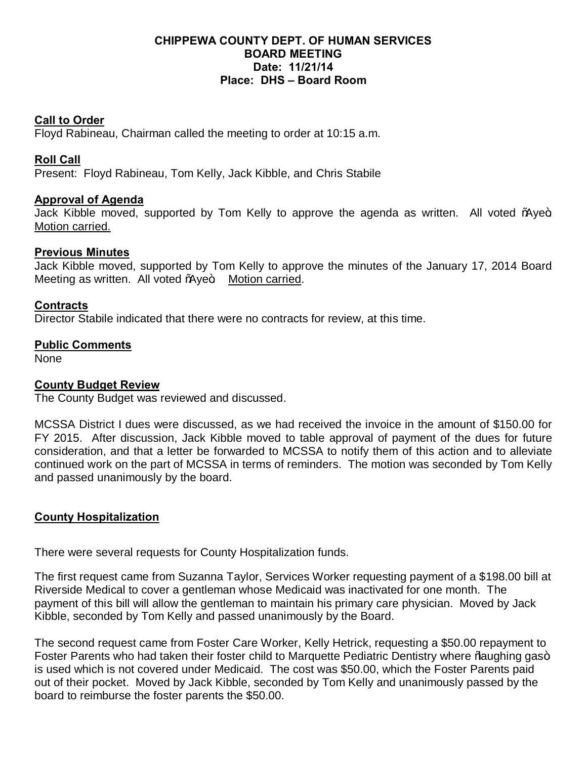## **CHIPPEWA COUNTY DEPT. OF HUMAN SERVICES BOARD MEETING Date: 11/21/14 Place: DHS – Board Room**

#### **Call to Order**

Floyd Rabineau, Chairman called the meeting to order at 10:15 a.m.

## **Roll Call**

Present: Floyd Rabineau, Tom Kelly, Jack Kibble, and Chris Stabile

#### **Approval of Agenda**

Jack Kibble moved, supported by Tom Kelly to approve the agenda as written. All voted % we+ Motion carried.

#### **Previous Minutes**

Jack Kibble moved, supported by Tom Kelly to approve the minutes of the January 17, 2014 Board Meeting as written. All voted % ye+ Motion carried.

#### **Contracts**

Director Stabile indicated that there were no contracts for review, at this time.

#### **Public Comments**

None

#### **County Budget Review**

The County Budget was reviewed and discussed.

MCSSA District I dues were discussed, as we had received the invoice in the amount of \$150.00 for FY 2015. After discussion, Jack Kibble moved to table approval of payment of the dues for future consideration, and that a letter be forwarded to MCSSA to notify them of this action and to alleviate continued work on the part of MCSSA in terms of reminders. The motion was seconded by Tom Kelly and passed unanimously by the board.

# **County Hospitalization**

There were several requests for County Hospitalization funds.

The first request came from Suzanna Taylor, Services Worker requesting payment of a \$198.00 bill at Riverside Medical to cover a gentleman whose Medicaid was inactivated for one month. The payment of this bill will allow the gentleman to maintain his primary care physician. Moved by Jack Kibble, seconded by Tom Kelly and passed unanimously by the Board.

The second request came from Foster Care Worker, Kelly Hetrick, requesting a \$50.00 repayment to Foster Parents who had taken their foster child to Marquette Pediatric Dentistry where % aughing gas+ is used which is not covered under Medicaid. The cost was \$50.00, which the Foster Parents paid out of their pocket. Moved by Jack Kibble, seconded by Tom Kelly and unanimously passed by the board to reimburse the foster parents the \$50.00.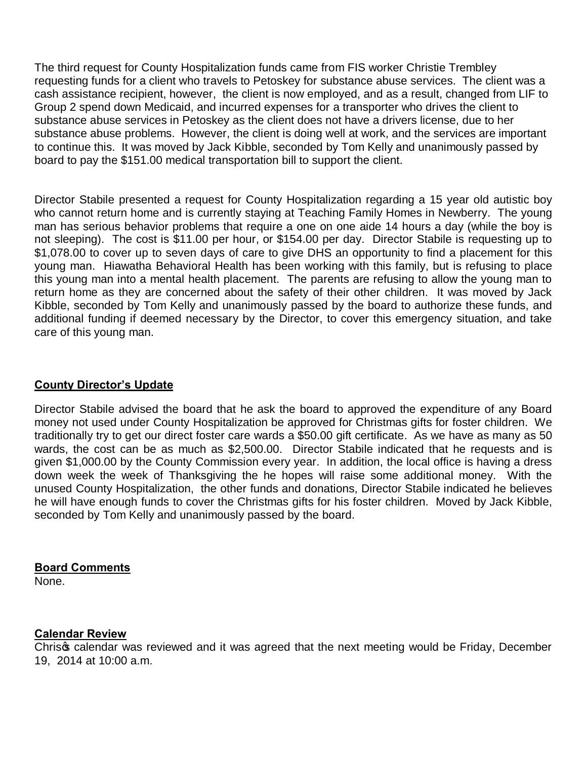The third request for County Hospitalization funds came from FIS worker Christie Trembley requesting funds for a client who travels to Petoskey for substance abuse services. The client was a cash assistance recipient, however, the client is now employed, and as a result, changed from LIF to Group 2 spend down Medicaid, and incurred expenses for a transporter who drives the client to substance abuse services in Petoskey as the client does not have a drivers license, due to her substance abuse problems. However, the client is doing well at work, and the services are important to continue this. It was moved by Jack Kibble, seconded by Tom Kelly and unanimously passed by board to pay the \$151.00 medical transportation bill to support the client.

Director Stabile presented a request for County Hospitalization regarding a 15 year old autistic boy who cannot return home and is currently staying at Teaching Family Homes in Newberry. The young man has serious behavior problems that require a one on one aide 14 hours a day (while the boy is not sleeping). The cost is \$11.00 per hour, or \$154.00 per day. Director Stabile is requesting up to \$1,078.00 to cover up to seven days of care to give DHS an opportunity to find a placement for this young man. Hiawatha Behavioral Health has been working with this family, but is refusing to place this young man into a mental health placement. The parents are refusing to allow the young man to return home as they are concerned about the safety of their other children. It was moved by Jack Kibble, seconded by Tom Kelly and unanimously passed by the board to authorize these funds, and additional funding if deemed necessary by the Director, to cover this emergency situation, and take care of this young man.

# **County Director's Update**

Director Stabile advised the board that he ask the board to approved the expenditure of any Board money not used under County Hospitalization be approved for Christmas gifts for foster children. We traditionally try to get our direct foster care wards a \$50.00 gift certificate. As we have as many as 50 wards, the cost can be as much as \$2,500.00. Director Stabile indicated that he requests and is given \$1,000.00 by the County Commission every year. In addition, the local office is having a dress down week the week of Thanksgiving the he hopes will raise some additional money. With the unused County Hospitalization, the other funds and donations, Director Stabile indicated he believes he will have enough funds to cover the Christmas gifts for his foster children. Moved by Jack Kibble, seconded by Tom Kelly and unanimously passed by the board.

# **Board Comments**

None.

# **Calendar Review**

Chris calendar was reviewed and it was agreed that the next meeting would be Friday, December 19, 2014 at 10:00 a.m.